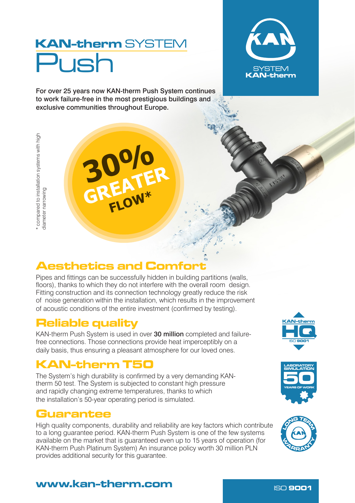# KAN-therm SYSTEM Push

For over 25 years now KAN-therm Push System continues to work failure-free in the most prestigious buildings and exclusive communities throughout Europe.

**30% GREATER FLOW\***



\* compared to installation systems with high compared to installation systems with high diameter narrowing diameter narrowing

### **Aesthetics and Comf**

Pipes and fittings can be successfully hidden in building partitions (walls, floors), thanks to which they do not interfere with the overall room design. Fitting construction and its connection technology greatly reduce the risk of noise generation within the installation, which results in the improvement of acoustic conditions of the entire investment (confirmed by testing).

#### Reliable quality

KAN-therm Push System is used in over 30 million completed and failurefree connections. Those connections provide heat imperceptibly on a daily basis, thus ensuring a pleasant atmosphere for our loved ones.

#### KAN-therm T50

The System's high durability is confirmed by a very demanding KANtherm 50 test. The System is subjected to constant high pressure and rapidly changing extreme temperatures, thanks to which the installation's 50-year operating period is simulated.

#### Guarantee

High quality components, durability and reliability are key factors which contribute to a long guarantee period. KAN-therm Push System is one of the few systems available on the market that is guaranteed even up to 15 years of operation (for KAN-therm Push Platinum System) An insurance policy worth 30 million PLN provides additional security for this guarantee.







#### www.kan-therm.com ISO 9001